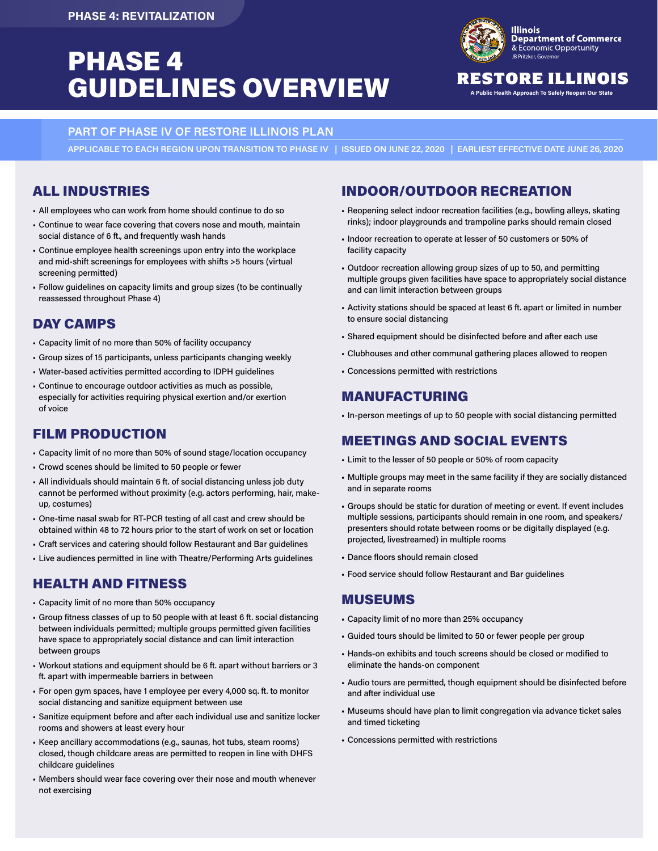# **PHASE 4 Exercise** Comportunity GUIDELINES OVERVIEW **RESTORE ILLINOI**



### RESTORE ILLINOIS

**PART OF PHASE IV OF RESTORE ILLINOIS PLAN** 

**APPLICABLE TO EACH REGION UPON TRANSITION TO PHASE IV | ISSUED ON JUNE 22, 2020 | EARLIEST EFFECTIVE DATE JUNE 26, 2020**

### ALL INDUSTRIES

- All employees who can work from home should continue to do so
- Continue to wear face covering that covers nose and mouth, maintain social distance of 6 ft., and frequently wash hands
- Continue employee health screenings upon entry into the workplace and mid-shift screenings for employees with shifts >5 hours (virtual screening permitted)
- Follow guidelines on capacity limits and group sizes (to be continually reassessed throughout Phase 4)

## DAY CAMPS

- Capacity limit of no more than 50% of facility occupancy
- Group sizes of 15 participants, unless participants changing weekly
- Water-based activities permitted according to IDPH guidelines
- Continue to encourage outdoor activities as much as possible, especially for activities requiring physical exertion and/or exertion of voice

## FILM PRODUCTION

- Capacity limit of no more than 50% of sound stage/location occupancy
- Crowd scenes should be limited to 50 people or fewer
- All individuals should maintain 6 ft. of social distancing unless job duty cannot be performed without proximity (e.g. actors performing, hair, makeup, costumes)
- One-time nasal swab for RT-PCR testing of all cast and crew should be obtained within 48 to 72 hours prior to the start of work on set or location
- Craft services and catering should follow Restaurant and Bar guidelines
- Live audiences permitted in line with Theatre/Performing Arts guidelines

## HEALTH AND FITNESS

- Capacity limit of no more than 50% occupancy
- Group fitness classes of up to 50 people with at least 6 ft. social distancing between individuals permitted; multiple groups permitted given facilities have space to appropriately social distance and can limit interaction between groups
- Workout stations and equipment should be 6 ft. apart without barriers or 3 ft. apart with impermeable barriers in between
- For open gym spaces, have 1 employee per every 4,000 sq. ft. to monitor social distancing and sanitize equipment between use
- Sanitize equipment before and after each individual use and sanitize locker rooms and showers at least every hour
- Keep ancillary accommodations (e.g., saunas, hot tubs, steam rooms) closed, though childcare areas are permitted to reopen in line with DHFS childcare guidelines
- Members should wear face covering over their nose and mouth whenever not exercising

### INDOOR/OUTDOOR RECREATION

- Reopening select indoor recreation facilities (e.g., bowling alleys, skating rinks); indoor playgrounds and trampoline parks should remain closed
- Indoor recreation to operate at lesser of 50 customers or 50% of facility capacity
- Outdoor recreation allowing group sizes of up to 50, and permitting multiple groups given facilities have space to appropriately social distance and can limit interaction between groups
- Activity stations should be spaced at least 6 ft. apart or limited in number to ensure social distancing
- Shared equipment should be disinfected before and after each use
- Clubhouses and other communal gathering places allowed to reopen
- Concessions permitted with restrictions

### MANUFACTURING

• In-person meetings of up to 50 people with social distancing permitted

### MEETINGS AND SOCIAL EVENTS

- Limit to the lesser of 50 people or 50% of room capacity
- Multiple groups may meet in the same facility if they are socially distanced and in separate rooms
- Groups should be static for duration of meeting or event. If event includes multiple sessions, participants should remain in one room, and speakers/ presenters should rotate between rooms or be digitally displayed (e.g. projected, livestreamed) in multiple rooms
- Dance floors should remain closed
- Food service should follow Restaurant and Bar guidelines

#### MUSEUMS

- Capacity limit of no more than 25% occupancy
- Guided tours should be limited to 50 or fewer people per group
- Hands-on exhibits and touch screens should be closed or modified to eliminate the hands-on component
- Audio tours are permitted, though equipment should be disinfected before and after individual use
- Museums should have plan to limit congregation via advance ticket sales and timed ticketing
- Concessions permitted with restrictions